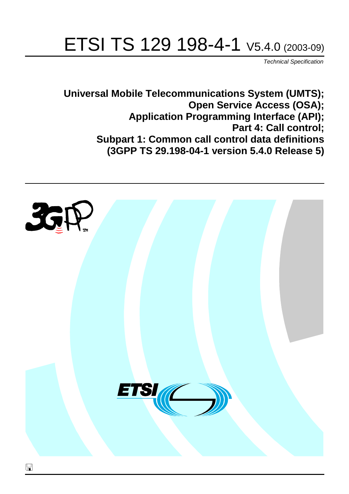# ETSI TS 129 198-4-1 V5.4.0 (2003-09)

Technical Specification

**Universal Mobile Telecommunications System (UMTS); Open Service Access (OSA); Application Programming Interface (API); Part 4: Call control; Subpart 1: Common call control data definitions (3GPP TS 29.198-04-1 version 5.4.0 Release 5)**

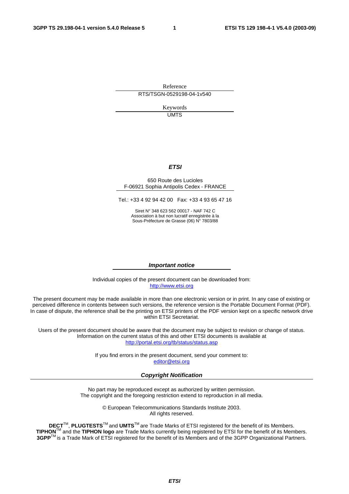Reference RTS/TSGN-0529198-04-1v540

> Keywords UMTS

#### **ETSI**

#### 650 Route des Lucioles F-06921 Sophia Antipolis Cedex - FRANCE

Tel.: +33 4 92 94 42 00 Fax: +33 4 93 65 47 16

Siret N° 348 623 562 00017 - NAF 742 C Association à but non lucratif enregistrée à la Sous-Préfecture de Grasse (06) N° 7803/88

#### **Important notice**

Individual copies of the present document can be downloaded from: [http://www.etsi.org](http://www.etsi.org/)

The present document may be made available in more than one electronic version or in print. In any case of existing or perceived difference in contents between such versions, the reference version is the Portable Document Format (PDF). In case of dispute, the reference shall be the printing on ETSI printers of the PDF version kept on a specific network drive within ETSI Secretariat.

Users of the present document should be aware that the document may be subject to revision or change of status. Information on the current status of this and other ETSI documents is available at <http://portal.etsi.org/tb/status/status.asp>

> If you find errors in the present document, send your comment to: [editor@etsi.org](mailto:editor@etsi.org)

#### **Copyright Notification**

No part may be reproduced except as authorized by written permission. The copyright and the foregoing restriction extend to reproduction in all media.

> © European Telecommunications Standards Institute 2003. All rights reserved.

**DECT**TM, **PLUGTESTS**TM and **UMTS**TM are Trade Marks of ETSI registered for the benefit of its Members. **TIPHON**TM and the **TIPHON logo** are Trade Marks currently being registered by ETSI for the benefit of its Members. **3GPP**TM is a Trade Mark of ETSI registered for the benefit of its Members and of the 3GPP Organizational Partners.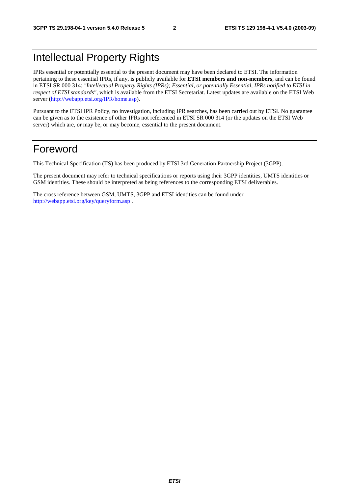### Intellectual Property Rights

IPRs essential or potentially essential to the present document may have been declared to ETSI. The information pertaining to these essential IPRs, if any, is publicly available for **ETSI members and non-members**, and can be found in ETSI SR 000 314: *"Intellectual Property Rights (IPRs); Essential, or potentially Essential, IPRs notified to ETSI in respect of ETSI standards"*, which is available from the ETSI Secretariat. Latest updates are available on the ETSI Web server ([http://webapp.etsi.org/IPR/home.asp\)](http://webapp.etsi.org/IPR/home.asp).

Pursuant to the ETSI IPR Policy, no investigation, including IPR searches, has been carried out by ETSI. No guarantee can be given as to the existence of other IPRs not referenced in ETSI SR 000 314 (or the updates on the ETSI Web server) which are, or may be, or may become, essential to the present document.

### Foreword

This Technical Specification (TS) has been produced by ETSI 3rd Generation Partnership Project (3GPP).

The present document may refer to technical specifications or reports using their 3GPP identities, UMTS identities or GSM identities. These should be interpreted as being references to the corresponding ETSI deliverables.

The cross reference between GSM, UMTS, 3GPP and ETSI identities can be found under <http://webapp.etsi.org/key/queryform.asp>.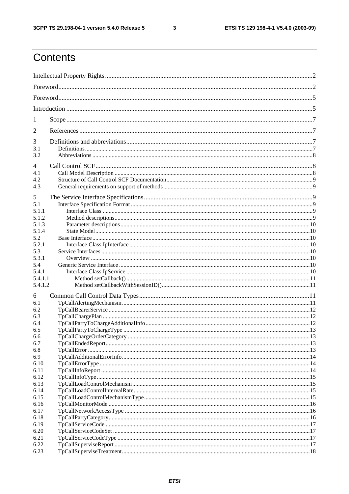$\mathbf{3}$ 

## Contents

| 1<br>2<br>3<br>3.1<br>3.2<br>$\overline{4}$<br>4.1<br>4.2<br>4.3<br>5<br>5.1<br>5.1.1<br>5.1.2<br>5.1.3<br>5.1.4<br>5.2<br>5.2.1<br>5.3<br>5.3.1<br>5.4<br>5.4.1<br>5.4.1.1<br>5.4.1.2<br>6<br>6.1<br>6.2<br>6.3<br>6.4<br>6.5<br>6.6<br>6.7<br>6.8<br>6.9<br>6.10<br>6.11<br>6.12<br>6.13<br>6.14<br>6.15<br>6.16<br>6.17<br>6.18<br>6.19<br>6.20<br>6.21<br>6.22<br>6.23 |  |  |  |
|----------------------------------------------------------------------------------------------------------------------------------------------------------------------------------------------------------------------------------------------------------------------------------------------------------------------------------------------------------------------------|--|--|--|
|                                                                                                                                                                                                                                                                                                                                                                            |  |  |  |
|                                                                                                                                                                                                                                                                                                                                                                            |  |  |  |
|                                                                                                                                                                                                                                                                                                                                                                            |  |  |  |
|                                                                                                                                                                                                                                                                                                                                                                            |  |  |  |
|                                                                                                                                                                                                                                                                                                                                                                            |  |  |  |
|                                                                                                                                                                                                                                                                                                                                                                            |  |  |  |
|                                                                                                                                                                                                                                                                                                                                                                            |  |  |  |
|                                                                                                                                                                                                                                                                                                                                                                            |  |  |  |
|                                                                                                                                                                                                                                                                                                                                                                            |  |  |  |
|                                                                                                                                                                                                                                                                                                                                                                            |  |  |  |
|                                                                                                                                                                                                                                                                                                                                                                            |  |  |  |
|                                                                                                                                                                                                                                                                                                                                                                            |  |  |  |
|                                                                                                                                                                                                                                                                                                                                                                            |  |  |  |
|                                                                                                                                                                                                                                                                                                                                                                            |  |  |  |
|                                                                                                                                                                                                                                                                                                                                                                            |  |  |  |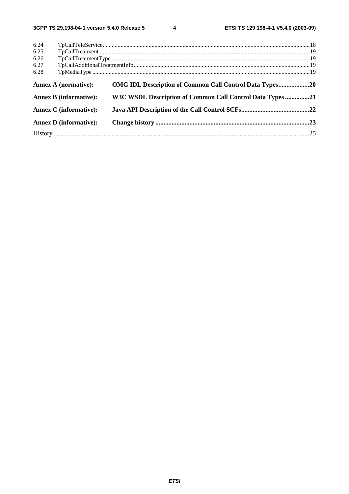$\overline{\mathbf{4}}$ 

| 6.24 |                               |                                                           |  |
|------|-------------------------------|-----------------------------------------------------------|--|
| 6.25 |                               |                                                           |  |
| 6.26 |                               |                                                           |  |
| 6.27 |                               |                                                           |  |
| 6.28 |                               |                                                           |  |
|      | <b>Annex A (normative):</b>   | OMG IDL Description of Common Call Control Data Types20   |  |
|      | <b>Annex B</b> (informative): | W3C WSDL Description of Common Call Control Data Types 21 |  |
|      | <b>Annex C</b> (informative): |                                                           |  |
|      | <b>Annex D</b> (informative): |                                                           |  |
|      |                               |                                                           |  |
|      |                               |                                                           |  |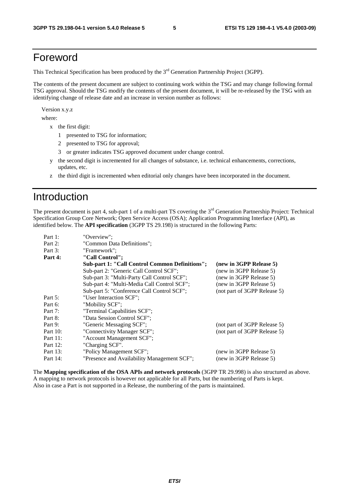### Foreword

This Technical Specification has been produced by the 3<sup>rd</sup> Generation Partnership Project (3GPP).

The contents of the present document are subject to continuing work within the TSG and may change following formal TSG approval. Should the TSG modify the contents of the present document, it will be re-released by the TSG with an identifying change of release date and an increase in version number as follows:

Version x.y.z

where:

- x the first digit:
	- 1 presented to TSG for information;
	- 2 presented to TSG for approval;
	- 3 or greater indicates TSG approved document under change control.
- y the second digit is incremented for all changes of substance, i.e. technical enhancements, corrections, updates, etc.
- z the third digit is incremented when editorial only changes have been incorporated in the document.

### Introduction

The present document is part 4, sub-part 1 of a multi-part TS covering the 3<sup>rd</sup> Generation Partnership Project: Technical Specification Group Core Network; Open Service Access (OSA); Application Programming Interface (API), as identified below. The **API specification** (3GPP TS 29.198) is structured in the following Parts:

| Part 1:     | "Overview":                                    |                              |
|-------------|------------------------------------------------|------------------------------|
| Part 2:     | "Common Data Definitions";                     |                              |
| Part 3:     | "Framework":                                   |                              |
| Part 4:     | "Call Control";                                |                              |
|             | Sub-part 1: "Call Control Common Definitions"; | (new in 3GPP Release 5)      |
|             | Sub-part 2: "Generic Call Control SCF";        | (new in 3GPP Release 5)      |
|             | Sub-part 3: "Multi-Party Call Control SCF";    | (new in 3GPP Release 5)      |
|             | Sub-part 4: "Multi-Media Call Control SCF";    | (new in 3GPP Release 5)      |
|             | Sub-part 5: "Conference Call Control SCF";     | (not part of 3GPP Release 5) |
| Part 5:     | "User Interaction SCF";                        |                              |
| Part 6:     | "Mobility SCF";                                |                              |
| Part 7:     | "Terminal Capabilities SCF";                   |                              |
| Part 8:     | "Data Session Control SCF";                    |                              |
| Part 9:     | "Generic Messaging SCF";                       | (not part of 3GPP Release 5) |
| Part $10$ : | "Connectivity Manager SCF";                    | (not part of 3GPP Release 5) |
| Part 11:    | "Account Management SCF";                      |                              |
| Part 12:    | "Charging SCF".                                |                              |
| Part 13:    | "Policy Management SCF";                       | (new in 3GPP Release 5)      |
| Part 14:    | "Presence and Availability Management SCF";    | (new in 3GPP Release 5)      |

The **Mapping specification of the OSA APIs and network protocols** (3GPP TR 29.998) is also structured as above. A mapping to network protocols is however not applicable for all Parts, but the numbering of Parts is kept. Also in case a Part is not supported in a Release, the numbering of the parts is maintained.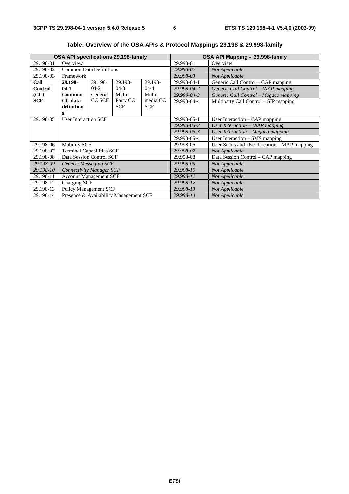| OSA API specifications 29.198-family |                                        |         |             |                                          |             | OSA API Mapping - 29.998-family             |
|--------------------------------------|----------------------------------------|---------|-------------|------------------------------------------|-------------|---------------------------------------------|
| 29.198-01                            | Overview                               |         |             |                                          | 29.998-01   | Overview                                    |
| 29.198-02                            | <b>Common Data Definitions</b>         |         |             |                                          | 29.998-02   | Not Applicable                              |
| 29.198-03                            | Framework                              |         |             |                                          | 29.998-03   | Not Applicable                              |
| Call                                 | 29.198-                                | 29.198- | 29.198-     | 29.198-                                  | 29.998-04-1 | Generic Call Control - CAP mapping          |
| <b>Control</b>                       | $04-1$                                 | $04-2$  | $04 - 3$    | $04-4$                                   | 29.998-04-2 | Generic Call Control – INAP mapping         |
| (CC)                                 | Common                                 | Generic | Multi-      | Multi-                                   | 29.998-04-3 | Generic Call Control - Megaco mapping       |
| <b>SCF</b>                           | CC data                                | CC SCF  | Party CC    | media CC                                 | 29.998-04-4 | Multiparty Call Control – SIP mapping       |
|                                      | definition                             |         | <b>SCF</b>  | <b>SCF</b>                               |             |                                             |
|                                      | s                                      |         |             |                                          |             |                                             |
| 29.198-05                            | <b>User Interaction SCF</b>            |         |             |                                          | 29.998-05-1 | User Interaction - CAP mapping              |
|                                      |                                        |         |             |                                          | 29.998-05-2 | User Interaction - INAP mapping             |
|                                      |                                        |         | 29.998-05-3 | <b>User Interaction - Megaco mapping</b> |             |                                             |
|                                      |                                        |         |             |                                          | 29.998-05-4 | User Interaction – SMS mapping              |
| 29.198-06                            | <b>Mobility SCF</b>                    |         |             |                                          | 29.998-06   | User Status and User Location – MAP mapping |
| 29.198-07                            | <b>Terminal Capabilities SCF</b>       |         |             |                                          | 29.998-07   | Not Applicable                              |
| 29.198-08                            | Data Session Control SCF               |         |             |                                          | 29.998-08   | Data Session Control - CAP mapping          |
| 29.198-09                            | <b>Generic Messaging SCF</b>           |         |             |                                          | 29.998-09   | Not Applicable                              |
| 29.198-10                            | <b>Connectivity Manager SCF</b>        |         |             |                                          | 29.998-10   | Not Applicable                              |
| 29.198-11                            | <b>Account Management SCF</b>          |         |             |                                          | 29.998-11   | Not Applicable                              |
| 29.198-12                            | Charging SCF                           |         |             |                                          | 29.998-12   | Not Applicable                              |
| 29.198-13                            | <b>Policy Management SCF</b>           |         |             |                                          | 29.998-13   | Not Applicable                              |
| 29.198-14                            | Presence & Availability Management SCF |         |             |                                          | 29.998-14   | Not Applicable                              |

**Table: Overview of the OSA APIs & Protocol Mappings 29.198 & 29.998-family**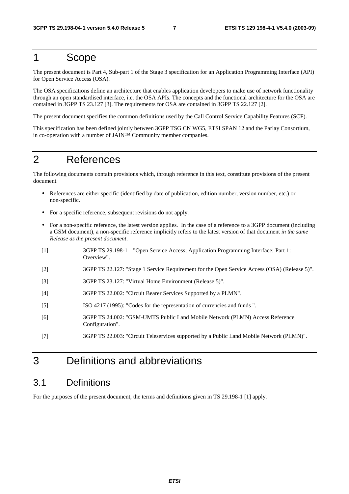### 1 Scope

The present document is Part 4, Sub-part 1 of the Stage 3 specification for an Application Programming Interface (API) for Open Service Access (OSA).

The OSA specifications define an architecture that enables application developers to make use of network functionality through an open standardised interface, i.e. the OSA APIs. The concepts and the functional architecture for the OSA are contained in 3GPP TS 23.127 [3]. The requirements for OSA are contained in 3GPP TS 22.127 [2].

The present document specifies the common definitions used by the Call Control Service Capability Features (SCF).

This specification has been defined jointly between 3GPP TSG CN WG5, ETSI SPAN 12 and the Parlay Consortium, in co-operation with a number of JAIN™ Community member companies.

### 2 References

The following documents contain provisions which, through reference in this text, constitute provisions of the present document.

- References are either specific (identified by date of publication, edition number, version number, etc.) or non-specific.
- For a specific reference, subsequent revisions do not apply.
- For a non-specific reference, the latest version applies. In the case of a reference to a 3GPP document (including a GSM document), a non-specific reference implicitly refers to the latest version of that document *in the same Release as the present document*.
- [1] 3GPP TS 29.198-1 "Open Service Access; Application Programming Interface; Part 1: Overview".
- [2] 3GPP TS 22.127: "Stage 1 Service Requirement for the Open Service Access (OSA) (Release 5)".
- [3] 3GPP TS 23.127: "Virtual Home Environment (Release 5)".
- [4] 3GPP TS 22.002: "Circuit Bearer Services Supported by a PLMN".
- [5] ISO 4217 (1995): "Codes for the representation of currencies and funds ".
- [6] 3GPP TS 24.002: "GSM-UMTS Public Land Mobile Network (PLMN) Access Reference Configuration".
- [7] 3GPP TS 22.003: "Circuit Teleservices supported by a Public Land Mobile Network (PLMN)".

### 3 Definitions and abbreviations

### 3.1 Definitions

For the purposes of the present document, the terms and definitions given in TS 29.198-1 [1] apply.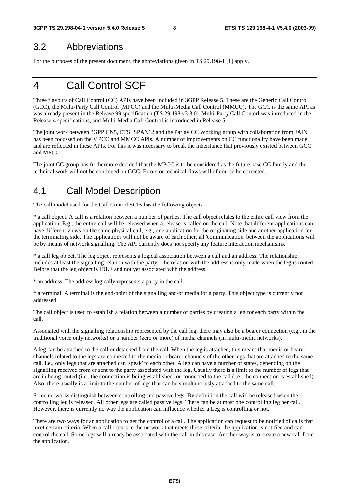### 3.2 Abbreviations

For the purposes of the present document, the abbreviations given in TS 29.198-1 [1] apply.

## 4 Call Control SCF

Three flavours of Call Control (CC) APIs have been included in 3GPP Release 5. These are the Generic Call Control (GCC), the Multi-Party Call Control (MPCC) and the Multi-Media Call Control (MMCC). The GCC is the same API as was already present in the Release 99 specification (TS 29.198 v3.3.0). Multi-Party Call Contorl was introduced in the Release 4 specifications, and Multi-Media Call Control is introduced in Release 5.

The joint work between 3GPP CN5, ETSI SPAN12 and the Parlay CC Working group with collaboration from JAIN has been focussed on the MPCC and MMCC APIs. A number of improvements on CC functionality have been made and are reflected in these APIs. For this it was necessary to break the inheritance that previously existed between GCC and MPCC.

The joint CC group has furthermore decided that the MPCC is to be considered as the future base CC family and the technical work will not be continued on GCC. Errors or technical flaws will of course be corrected.

### 4.1 Call Model Description

The call model used for the Call Control SCFs has the following objects.

\* a call object. A call is a relation between a number of parties. The call object relates to the entire call view from the application. E.g., the entire call will be released when a release is called on the call. Note that different applications can have different views on the same physical call, e.g., one application for the originating side and another application for the terminating side. The applications will not be aware of each other, all 'communication' between the applications will be by means of network signalling. The API currently does not specify any feature interaction mechanisms.

\* a call leg object. The leg object represents a logical association between a call and an address. The relationship includes at least the signalling relation with the party. The relation with the address is only made when the leg is routed. Before that the leg object is IDLE and not yet associated with the address.

\* an address. The address logically represents a party in the call.

\* a terminal. A terminal is the end-point of the signalling and/or media for a party. This object type is currently not addressed.

The call object is used to establish a relation between a number of parties by creating a leg for each party within the call.

Associated with the signalling relationship represented by the call leg, there may also be a bearer connection (e.g., in the traditional voice only networks) or a number (zero or more) of media channels (in multi-media networks).

A leg can be attached to the call or detached from the call. When the leg is attached, this means that media or bearer channels related to the legs are connected to the media or bearer channels of the other legs that are attached to the same call. I.e., only legs that are attached can 'speak' to each other. A leg can have a number of states, depending on the signalling received from or sent to the party associated with the leg. Usually there is a limit to the number of legs that are in being routed (i.e., the connection is being established) or connected to the call (i.e., the connection is established). Also, there usually is a limit to the number of legs that can be simultaneously attached to the same call.

Some networks distinguish between controlling and passive legs. By definition the call will be released when the controlling leg is released. All other legs are called passive legs. There can be at most one controlling leg per call. However, there is currently no way the application can influence whether a Leg is controlling or not.

There are two ways for an application to get the control of a call. The application can request to be notified of calls that meet certain criteria. When a call occurs in the network that meets these criteria, the application is notified and can control the call. Some legs will already be associated with the call in this case. Another way is to create a new call from the application.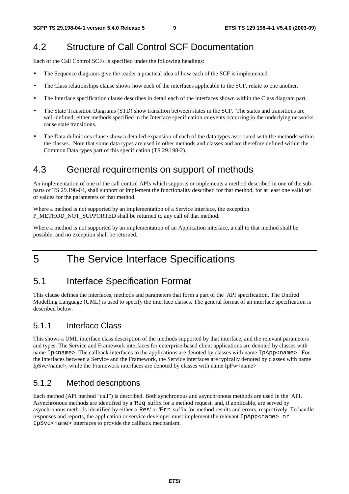### 4.2 Structure of Call Control SCF Documentation

Each of the Call Control SCFs is specified under the following headings:

- The Sequence diagrams give the reader a practical idea of how each of the SCF is implemented.
- The Class relationships clause shows how each of the interfaces applicable to the SCF, relate to one another.
- The Interface specification clause describes in detail each of the interfaces shown within the Class diagram part.
- The State Transition Diagrams (STD) show transition between states in the SCF. The states and transitions are well-defined; either methods specified in the Interface specification or events occurring in the underlying networks cause state transitions.
- The Data definitions clause show a detailed expansion of each of the data types associated with the methods within the classes. Note that some data types are used in other methods and classes and are therefore defined within the Common Data types part of this specification (TS 29.198-2).

### 4.3 General requirements on support of methods

An implementation of one of the call control APIs which supports or implements a method described in one of the subparts of TS 29.198-04, shall support or implement the functionality described for that method, for at least one valid set of values for the parameters of that method.

Where a method is not supported by an implementation of a Service interface, the exception P\_METHOD\_NOT\_SUPPORTED shall be returned to any call of that method.

Where a method is not supported by an implementation of an Application interface, a call to that method shall be possible, and no exception shall be returned.

## 5 The Service Interface Specifications

### 5.1 Interface Specification Format

This clause defines the interfaces, methods and parameters that form a part of the API specification. The Unified Modelling Language (UML) is used to specify the interface classes. The general format of an interface specification is described below.

### 5.1.1 Interface Class

This shows a UML interface class description of the methods supported by that interface, and the relevant parameters and types. The Service and Framework interfaces for enterprise-based client applications are denoted by classes with name Ip<name>. The callback interfaces to the applications are denoted by classes with name IpApp<name>. For the interfaces between a Service and the Framework, the Service interfaces are typically denoted by classes with name IpSvc<name>, while the Framework interfaces are denoted by classes with name IpFw<name>

### 5.1.2 Method descriptions

Each method (API method "call") is described. Both synchronous and asynchronous methods are used in the API. Asynchronous methods are identified by a 'Req' suffix for a method request, and, if applicable, are served by asynchronous methods identified by either a 'Res' or 'Err' suffix for method results and errors, respectively. To handle responses and reports, the application or service developer must implement the relevant IpApp<name> or IpSvc<name> interfaces to provide the callback mechanism.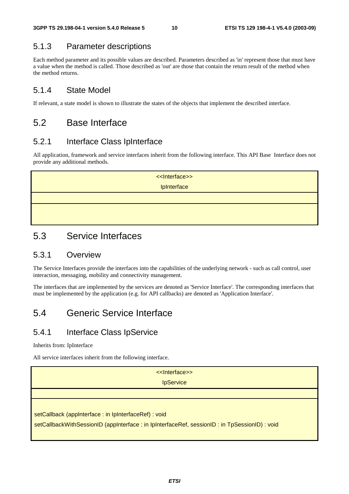### 5.1.3 Parameter descriptions

Each method parameter and its possible values are described. Parameters described as 'in' represent those that must have a value when the method is called. Those described as 'out' are those that contain the return result of the method when the method returns.

### 5.1.4 State Model

If relevant, a state model is shown to illustrate the states of the objects that implement the described interface.

### 5.2 Base Interface

### 5.2.1 Interface Class IpInterface

All application, framework and service interfaces inherit from the following interface. This API Base Interface does not provide any additional methods.

| < <lnterface>&gt;</lnterface> |
|-------------------------------|
| IpInterface                   |
|                               |
|                               |
|                               |

### 5.3 Service Interfaces

### 5.3.1 Overview

The Service Interfaces provide the interfaces into the capabilities of the underlying network - such as call control, user interaction, messaging, mobility and connectivity management.

The interfaces that are implemented by the services are denoted as 'Service Interface'. The corresponding interfaces that must be implemented by the application (e.g. for API callbacks) are denoted as 'Application Interface'.

### 5.4 Generic Service Interface

### 5.4.1 Interface Class IpService

Inherits from: IpInterface

All service interfaces inherit from the following interface.

| << Interface>>                                                                                 |
|------------------------------------------------------------------------------------------------|
| <b>IpService</b>                                                                               |
|                                                                                                |
|                                                                                                |
| setCallback (appInterface: in IpInterfaceRef) : void                                           |
| setCallbackWithSessionID (appInterface : in lpInterfaceRef, sessionID : in TpSessionID) : void |
|                                                                                                |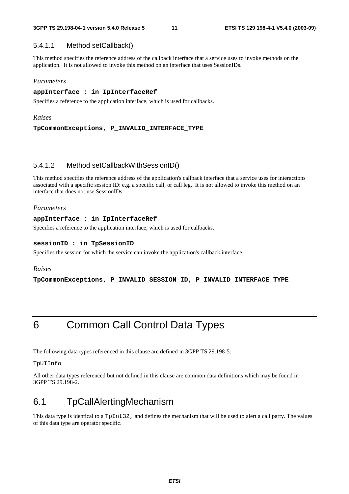#### 5.4.1.1 Method setCallback()

This method specifies the reference address of the callback interface that a service uses to invoke methods on the application. It is not allowed to invoke this method on an interface that uses SessionIDs.

#### *Parameters*

#### **appInterface : in IpInterfaceRef**

Specifies a reference to the application interface, which is used for callbacks.

#### *Raises*

**TpCommonExceptions, P\_INVALID\_INTERFACE\_TYPE** 

#### 5.4.1.2 Method setCallbackWithSessionID()

This method specifies the reference address of the application's callback interface that a service uses for interactions associated with a specific session ID: e.g. a specific call, or call leg. It is not allowed to invoke this method on an interface that does not use SessionIDs.

#### *Parameters*

#### **appInterface : in IpInterfaceRef**

Specifies a reference to the application interface, which is used for callbacks.

#### **sessionID : in TpSessionID**

Specifies the session for which the service can invoke the application's callback interface.

#### *Raises*

**TpCommonExceptions, P\_INVALID\_SESSION\_ID, P\_INVALID\_INTERFACE\_TYPE** 

## 6 Common Call Control Data Types

The following data types referenced in this clause are defined in 3GPP TS 29.198-5:

#### TpUIInfo

All other data types referenced but not defined in this clause are common data definitions which may be found in 3GPP TS 29.198-2.

### 6.1 TpCallAlertingMechanism

This data type is identical to a TpInt32, and defines the mechanism that will be used to alert a call party. The values of this data type are operator specific.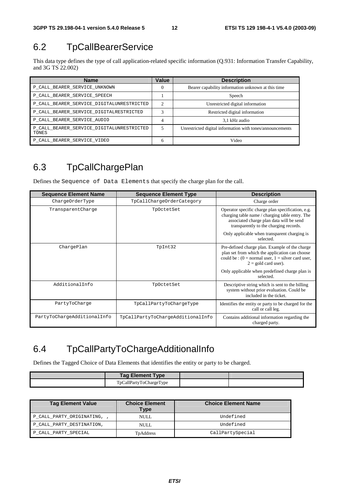### 6.2 TpCallBearerService

This data type defines the type of call application-related specific information (Q.931: Information Transfer Capability, and 3G TS 22.002)

| <b>Name</b>                                        | Value                       | <b>Description</b>                                        |
|----------------------------------------------------|-----------------------------|-----------------------------------------------------------|
| P_CALL_BEARER_SERVICE_UNKNOWN                      | $\Omega$                    | Bearer capability information unknown at this time        |
| P CALL BEARER SERVICE SPEECH                       |                             | Speech                                                    |
| P_CALL_BEARER_SERVICE_DIGITALUNRESTRICTED          | $\mathcal{D}_{\mathcal{L}}$ | Unrestricted digital information                          |
| P_CALL_BEARER_SERVICE_DIGITALRESTRICTED            | 3                           | Restricted digital information                            |
| P CALL BEARER SERVICE AUDIO                        | 4                           | 3,1 kHz audio                                             |
| P CALL BEARER SERVICE DIGITALUNRESTRICTED<br>TONES | 5                           | Unrestricted digital information with tones/announcements |
| P CALL BEARER SERVICE VIDEO                        | 6                           | Video                                                     |

## 6.3 TpCallChargePlan

Defines the Sequence of Data Elements that specify the charge plan for the call.

| <b>Sequence Element Name</b> | <b>Sequence Element Type</b>      | <b>Description</b>                                                                                                                                                                         |
|------------------------------|-----------------------------------|--------------------------------------------------------------------------------------------------------------------------------------------------------------------------------------------|
| ChargeOrderType              | TpCallChargeOrderCategory         | Charge order                                                                                                                                                                               |
| TransparentCharge            | TpOctetSet                        | Operator specific charge plan specification, e.g.<br>charging table name / charging table entry. The<br>associated charge plan data will be send<br>transparently to the charging records. |
|                              |                                   | Only applicable when transparent charging is<br>selected.                                                                                                                                  |
| ChargePlan                   | TpInt32                           | Pre-defined charge plan. Example of the charge<br>plan set from which the application can choose<br>could be: $(0 = normal user, 1 = silver card user,$<br>$2 =$ gold card user).          |
|                              |                                   | Only applicable when predefined charge plan is<br>selected.                                                                                                                                |
| AdditionalInfo               | TpOctetSet                        | Descriptive string which is sent to the billing<br>system without prior evaluation. Could be<br>included in the ticket.                                                                    |
| PartyToCharge                | TpCallPartyToChargeType           | Identifies the entity or party to be charged for the<br>call or call leg.                                                                                                                  |
| PartyToChargeAdditionalInfo  | TpCallPartyToChargeAdditionalInfo | Contains additional information regarding the<br>charged party.                                                                                                                            |

### 6.4 TpCallPartyToChargeAdditionalInfo

Defines the Tagged Choice of Data Elements that identifies the entity or party to be charged.

| <b>Tag Element Type</b> |  |
|-------------------------|--|
| TpCallPartyToChargeType |  |

| <b>Tag Element Value</b>  | <b>Choice Element</b><br>Type | <b>Choice Element Name</b> |
|---------------------------|-------------------------------|----------------------------|
| P_CALL_PARTY_ORIGINATING, | NULL.                         | Undefined                  |
| P_CALL_PARTY_DESTINATION, | NULL.                         | Undefined                  |
| P_CALL_PARTY_SPECIAL      | TpAddress                     | CallPartySpecial           |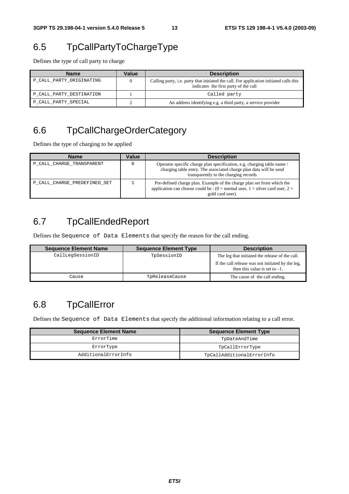### 6.5 TpCallPartyToChargeType

Defines the type of call party to charge

| <b>Name</b>              | Value | <b>Description</b>                                                                                                               |
|--------------------------|-------|----------------------------------------------------------------------------------------------------------------------------------|
| P_CALL_PARTY_ORIGINATING |       | Calling party, i.e. party that initiated the call. For application initiated calls this<br>indicates the first party of the call |
| P CALL PARTY DESTINATION |       | Called party                                                                                                                     |
| P_CALL_PARTY_SPECIAL     |       | An address identifying e.g. a third party, a service provider                                                                    |

### 6.6 TpCallChargeOrderCategory

Defines the type of charging to be applied

| <b>Name</b>                  | Value | <b>Description</b>                                                                                                                                                                     |
|------------------------------|-------|----------------------------------------------------------------------------------------------------------------------------------------------------------------------------------------|
| P_CALL_CHARGE_TRANSPARENT    |       | Operator specific charge plan specification, e.g. charging table name /<br>charging table entry. The associated charge plan data will be send<br>transparently to the charging records |
| P CALL CHARGE PREDEFINED SET |       | Pre-defined charge plan. Example of the charge plan set from which the<br>application can choose could be : $(0 = normal user, 1 = silver card user, 2 =$<br>gold card user).          |

### 6.7 TpCallEndedReport

Defines the Sequence of Data Elements that specify the reason for the call ending.

| <b>Sequence Element Name</b> | <b>Sequence Element Type</b> | <b>Description</b>                                                                    |
|------------------------------|------------------------------|---------------------------------------------------------------------------------------|
| CallLegSessionID             | TpSessionID                  | The leg that initiated the release of the call.                                       |
|                              |                              | If the call release was not initiated by the leg,<br>then this value is set to $-1$ . |
| Cause                        | TpReleaseCause               | The cause of the call ending.                                                         |

### 6.8 TpCallError

Defines the Sequence of Data Elements that specify the additional information relating to a call error.

| <b>Sequence Element Name</b> | <b>Sequence Element Type</b> |
|------------------------------|------------------------------|
| ErrorTime                    | TpDateAndTime                |
| ErrorType                    | TpCallErrorType              |
| AdditionalErrorInfo          | TpCallAdditionalErrorInfo    |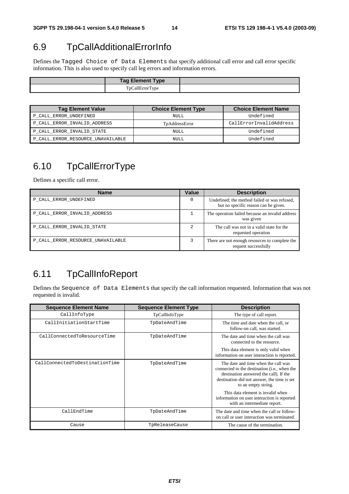## 6.9 TpCallAdditionalErrorInfo

Defines the Tagged Choice of Data Elements that specify additional call error and call error specific information. This is also used to specify call leg errors and information errors.

| <b>Tag Element Type</b> |  |
|-------------------------|--|
| TpCallErrorType         |  |

| <b>Tag Element Value</b>          | <b>Choice Element Type</b> | <b>Choice Element Name</b> |
|-----------------------------------|----------------------------|----------------------------|
| P_CALL_ERROR_UNDEFINED            | NULL                       | Undefined                  |
| P_CALL_ERROR_INVALID_ADDRESS      | TpAddressError             | CallErrorInvalidAddress    |
| P_CALL_ERROR_INVALID_STATE        | <b>NULL</b>                | Undefined                  |
| P_CALL_ERROR_RESOURCE_UNAVAILABLE | NULL                       | Undefined                  |

## 6.10 TpCallErrorType

Defines a specific call error.

| <b>Name</b>                       | Value | <b>Description</b>                                                                   |
|-----------------------------------|-------|--------------------------------------------------------------------------------------|
| P CALL ERROR UNDEFINED            |       | Undefined; the method failed or was refused,<br>but no specific reason can be given. |
| P CALL ERROR INVALID ADDRESS      |       | The operation failed because an invalid address<br>was given                         |
| P CALL ERROR INVALID STATE        |       | The call was not in a valid state for the<br>requested operation                     |
| P_CALL_ERROR_RESOURCE_UNAVAILABLE |       | There are not enough resources to complete the<br>request successfully               |

## 6.11 TpCallInfoReport

Defines the Sequence of Data Elements that specify the call information requested. Information that was not requested is invalid.

| <b>Sequence Element Name</b>   | <b>Sequence Element Type</b> | <b>Description</b>                                                                                                                                                                                  |
|--------------------------------|------------------------------|-----------------------------------------------------------------------------------------------------------------------------------------------------------------------------------------------------|
| CallInfoType                   | TpCallInfoType               | The type of call report.                                                                                                                                                                            |
| CallInitiationStartTime        | TpDateAndTime                | The time and date when the call, or<br>follow-on call, was started.                                                                                                                                 |
| CallConnectedToResourceTime    | TpDateAndTime                | The date and time when the call was<br>connected to the resource.                                                                                                                                   |
|                                |                              | This data element is only valid when<br>information on user interaction is reported.                                                                                                                |
| CallConnectedToDestinationTime | TpDateAndTime                | The date and time when the call was<br>connected to the destination (i.e., when the<br>destination answered the call). If the<br>destination did not answer, the time is set<br>to an empty string. |
|                                |                              | This data element is invalid when<br>information on user interaction is reported<br>with an intermediate report.                                                                                    |
| CallEndTime                    | TpDateAndTime                | The date and time when the call or follow-<br>on call or user interaction was terminated.                                                                                                           |
| Cause                          | TpReleaseCause               | The cause of the termination.                                                                                                                                                                       |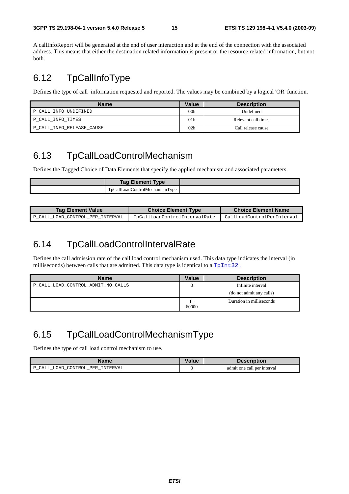A callInfoReport will be generated at the end of user interaction and at the end of the connection with the associated address. This means that either the destination related information is present or the resource related information, but not both.

### 6.12 TpCallInfoType

Defines the type of call information requested and reported. The values may be combined by a logical 'OR' function.

| <b>Name</b>               | Value           | <b>Description</b>  |
|---------------------------|-----------------|---------------------|
| P CALL INFO UNDEFINED     | 00 <sub>h</sub> | Undefined           |
| P_CALL_INFO_TIMES         | 01 <sub>h</sub> | Relevant call times |
| P CALL INFO RELEASE CAUSE | 02 <sub>h</sub> | Call release cause  |

### 6.13 TpCallLoadControlMechanism

Defines the Tagged Choice of Data Elements that specify the applied mechanism and associated parameters.

| <b>Tag Element Type</b>                |  |
|----------------------------------------|--|
| <b>T</b> <sub>D</sub> CallI<br>المهدان |  |

| <b>Tag Element Value</b>         | <b>Choice Element Type</b>    | <b>Choice Element Name</b> |
|----------------------------------|-------------------------------|----------------------------|
| P CALL LOAD CONTROL PER INTERVAL | TpCallLoadControlIntervalRate | CallLoadControlPerInterval |

### 6.14 TpCallLoadControlIntervalRate

Defines the call admission rate of the call load control mechanism used. This data type indicates the interval (in milliseconds) between calls that are admitted. This data type is identical to a TpInt32.

| <b>Name</b>                        | <b>Value</b>                      | <b>Description</b>       |
|------------------------------------|-----------------------------------|--------------------------|
| P CALL LOAD CONTROL ADMIT NO CALLS |                                   | Infinite interval        |
|                                    |                                   | (do not admit any calls) |
|                                    | $\overline{\phantom{a}}$<br>60000 | Duration in milliseconds |

### 6.15 TpCallLoadControlMechanismType

Defines the type of call load control mechanism to use.

| Name                             | <b>Value</b> | <b>Description</b>          |
|----------------------------------|--------------|-----------------------------|
| P CALL LOAD CONTROL PER INTERVAL |              | admit one call per interval |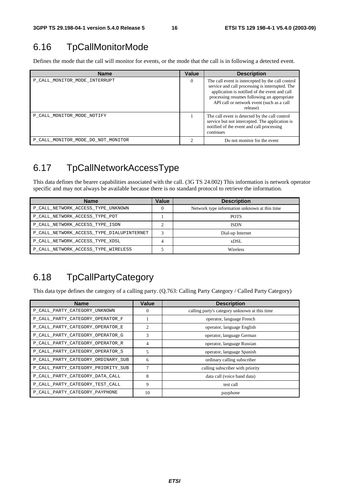## 6.16 TpCallMonitorMode

Defines the mode that the call will monitor for events, or the mode that the call is in following a detected event.

| <b>Name</b>                        | <b>Value</b> | <b>Description</b>                                                                                                                                                                                                                                            |
|------------------------------------|--------------|---------------------------------------------------------------------------------------------------------------------------------------------------------------------------------------------------------------------------------------------------------------|
| P CALL MONITOR MODE INTERRUPT      | $\Omega$     | The call event is intercepted by the call control<br>service and call processing is interrupted. The<br>application is notified of the event and call<br>processing resumes following an appropriate<br>API call or network event (such as a call<br>release) |
| P_CALL_MONITOR_MODE_NOTIFY         |              | The call event is detected by the call control<br>service but not intercepted. The application is<br>notified of the event and call processing<br>continues                                                                                                   |
| P_CALL_MONITOR_MODE_DO_NOT_MONITOR |              | Do not monitor for the event                                                                                                                                                                                                                                  |

### 6.17 TpCallNetworkAccessType

This data defines the bearer capabilities associated with the call. (3G TS 24.002) This information is network operator specific and may not always be available because there is no standard protocol to retrieve the information.

| <b>Name</b>                               | Value | <b>Description</b>                             |
|-------------------------------------------|-------|------------------------------------------------|
| P_CALL_NETWORK_ACCESS_TYPE_UNKNOWN        |       | Network type information unknown at this time. |
| P_CALL_NETWORK_ACCESS_TYPE_POT            |       | <b>POTS</b>                                    |
| P_CALL_NETWORK_ACCESS_TYPE_ISDN           |       | <b>ISDN</b>                                    |
| P_CALL_NETWORK_ACCESS_TYPE_DIALUPINTERNET | 3     | Dial-up Internet                               |
| P CALL NETWORK ACCESS TYPE XDSL           | 4     | xDSL                                           |
| P_CALL_NETWORK_ACCESS_TYPE_WIRELESS       |       | Wireless                                       |

## 6.18 TpCallPartyCategory

This data type defines the category of a calling party. (Q.763: Calling Party Category / Called Party Category)

| <b>Name</b>                        | Value          | <b>Description</b>                            |
|------------------------------------|----------------|-----------------------------------------------|
| P_CALL_PARTY_CATEGORY_UNKNOWN      | 0              | calling party's category unknown at this time |
| P_CALL_PARTY_CATEGORY_OPERATOR_F   |                | operator, language French                     |
| P_CALL_PARTY_CATEGORY_OPERATOR_E   | $\overline{c}$ | operator, language English                    |
| P_CALL_PARTY_CATEGORY_OPERATOR_G   | 3              | operator, language German                     |
| P_CALL_PARTY_CATEGORY_OPERATOR_R   | $\overline{4}$ | operator, language Russian                    |
| P_CALL_PARTY_CATEGORY_OPERATOR_S   | 5              | operator, language Spanish                    |
| P_CALL_PARTY_CATEGORY_ORDINARY_SUB | 6              | ordinary calling subscriber                   |
| P_CALL_PARTY_CATEGORY_PRIORITY_SUB | 7              | calling subscriber with priority              |
| P_CALL_PARTY_CATEGORY_DATA_CALL    | 8              | data call (voice band data)                   |
| P_CALL_PARTY_CATEGORY_TEST_CALL    | 9              | test call                                     |
| P_CALL_PARTY_CATEGORY_PAYPHONE     | 10             | payphone                                      |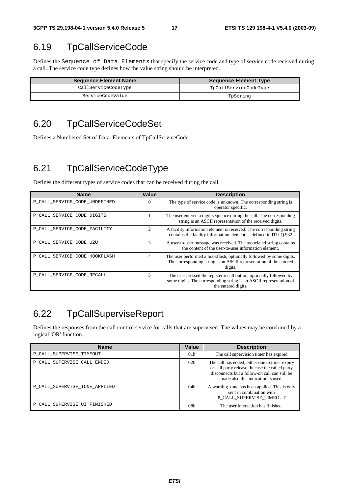### 6.19 TpCallServiceCode

Defines the Sequence of Data Elements that specify the service code and type of service code received during a call. The service code type defines how the value string should be interpreted.

| <b>Sequence Element Name</b> | <b>Sequence Element Type</b> |
|------------------------------|------------------------------|
| CallServiceCodeType          | TpCallServiceCodeType        |
| ServiceCodeValue             | TpString                     |

### 6.20 TpCallServiceCodeSet

Defines a Numbered Set of Data Elements of TpCallServiceCode.

## 6.21 TpCallServiceCodeType

Defines the different types of service codes that can be received during the call.

| <b>Name</b>                   | Value          | <b>Description</b>                                                                                                                                                |
|-------------------------------|----------------|-------------------------------------------------------------------------------------------------------------------------------------------------------------------|
| P_CALL_SERVICE_CODE_UNDEFINED |                | The type of service code is unknown. The corresponding string is<br>operator specific.                                                                            |
| P_CALL_SERVICE_CODE_DIGITS    |                | The user entered a digit sequence during the call. The corresponding<br>string is an ASCII representation of the received digits.                                 |
| P_CALL_SERVICE_CODE_FACILITY  | $\mathfrak{D}$ | A facility information element is received. The corresponding string<br>contains the facility information element as defined in ITU 0.932                         |
| P CALL SERVICE CODE U2U       | 3              | A user-to-user message was received. The associated string contains<br>the content of the user-to-user information element.                                       |
| P CALL SERVICE CODE HOOKFLASH | 4              | The user performed a hookflash, optionally followed by some digits.<br>The corresponding string is an ASCII representation of the entered<br>digits.              |
| P_CALL_SERVICE_CODE_RECALL    | 5              | The user pressed the register recall button, optionally followed by<br>some digits. The corresponding string is an ASCII representation of<br>the entered digits. |

### 6.22 TpCallSuperviseReport

Defines the responses from the call control service for calls that are supervised. The values may be combined by a logical 'OR' function.

| <b>Name</b>                   | Value           | <b>Description</b>                                                                                                                                                                       |
|-------------------------------|-----------------|------------------------------------------------------------------------------------------------------------------------------------------------------------------------------------------|
| P_CALL_SUPERVISE_TIMEOUT      | 01 <sub>h</sub> | The call supervision timer has expired                                                                                                                                                   |
| P_CALL_SUPERVISE_CALL_ENDED   | 02h             | The call has ended, either due to timer expiry<br>or call party release. In case the called party<br>disconnects but a follow-on call can still be<br>made also this indication is used. |
| P_CALL_SUPERVISE_TONE_APPLIED | 04h             | A warning tone has been applied. This is only<br>sent in combination with<br>P CALL SUPERVISE TIMEOUT                                                                                    |
| P_CALL_SUPERVISE_UI_FINISHED  | 08 <sub>h</sub> | The user interaction has finished.                                                                                                                                                       |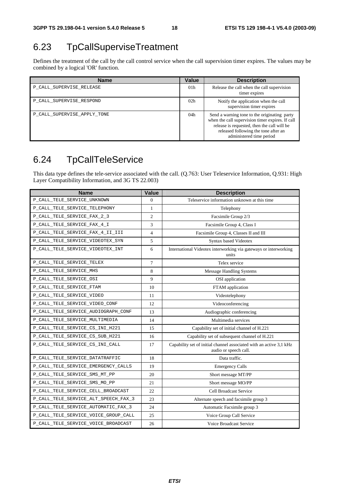## 6.23 TpCallSuperviseTreatment

Defines the treatment of the call by the call control service when the call supervision timer expires. The values may be combined by a logical 'OR' function.

| <b>Name</b>                 | Value           | <b>Description</b>                                                                                                                                                                                                  |
|-----------------------------|-----------------|---------------------------------------------------------------------------------------------------------------------------------------------------------------------------------------------------------------------|
| P CALL SUPERVISE RELEASE    | 01 <sub>h</sub> | Release the call when the call supervision<br>timer expires                                                                                                                                                         |
| P_CALL_SUPERVISE_RESPOND    | 02 <sub>h</sub> | Notify the application when the call<br>supervision timer expires                                                                                                                                                   |
| P CALL SUPERVISE APPLY TONE | 04h             | Send a warning tone to the originating party<br>when the call supervision timer expires. If call<br>release is requested, then the call will be<br>released following the tone after an<br>administered time period |

### 6.24 TpCallTeleService

This data type defines the tele-service associated with the call. (Q.763: User Teleservice Information, Q.931: High Layer Compatibility Information, and 3G TS 22.003)

| <b>Name</b>                          | <b>Value</b>   | <b>Description</b>                                                                           |
|--------------------------------------|----------------|----------------------------------------------------------------------------------------------|
| P_CALL_TELE_SERVICE_UNKNOWN          | $\overline{0}$ | Teleservice information unknown at this time                                                 |
| P_CALL_TELE_SERVICE_TELEPHONY        | 1              | Telephony                                                                                    |
| P_CALL_TELE_SERVICE_FAX_2_3          | $\overline{c}$ | Facsimile Group 2/3                                                                          |
| P_CALL_TELE_SERVICE_FAX_4_I          | 3              | Facsimile Group 4, Class I                                                                   |
| P_CALL_TELE_SERVICE_FAX_4_II_III     | $\overline{4}$ | Facsimile Group 4, Classes II and III                                                        |
| P_CALL_TELE_SERVICE_VIDEOTEX_SYN     | 5              | Syntax based Videotex                                                                        |
| P_CALL_TELE_SERVICE_VIDEOTEX_INT     | 6              | International Videotex interworking via gateways or interworking<br>units                    |
| P_CALL_TELE_SERVICE_TELEX            | 7              | Telex service                                                                                |
| P_CALL_TELE_SERVICE_MHS              | 8              | <b>Message Handling Systems</b>                                                              |
| P_CALL_TELE_SERVICE_OSI              | 9              | OSI application                                                                              |
| P_CALL_TELE_SERVICE_FTAM             | 10             | FTAM application                                                                             |
| P_CALL_TELE_SERVICE_VIDEO            | 11             | Videotelephony                                                                               |
| P_CALL_TELE_SERVICE_VIDEO_CONF       | 12             | Videoconferencing                                                                            |
| P_CALL_TELE_SERVICE_AUDIOGRAPH_CONF  | 13             | Audiographic conferencing                                                                    |
| P_CALL_TELE_SERVICE_MULTIMEDIA       | 14             | Multimedia services                                                                          |
| P_CALL_TELE_SERVICE_CS_INI_H221      | 15             | Capability set of initial channel of H.221                                                   |
| P_CALL_TELE_SERVICE_CS_SUB_H221      | 16             | Capability set of subsequent channel of H.221                                                |
| P_CALL_TELE_SERVICE_CS_INI_CALL      | 17             | Capability set of initial channel associated with an active 3,1 kHz<br>audio or speech call. |
| P_CALL_TELE_SERVICE_DATATRAFFIC      | 18             | Data traffic.                                                                                |
| P_CALL_TELE_SERVICE_EMERGENCY_CALLS  | 19             | <b>Emergency Calls</b>                                                                       |
| P_CALL_TELE_SERVICE_SMS_MT_PP        | 20             | Short message MT/PP                                                                          |
| P_CALL_TELE_SERVICE_SMS_MO_PP        | 21             | Short message MO/PP                                                                          |
| P_CALL_TELE_SERVICE_CELL_BROADCAST   | 22             | <b>Cell Broadcast Service</b>                                                                |
| P_CALL_TELE_SERVICE_ALT_SPEECH_FAX_3 | 23             | Alternate speech and facsimile group 3                                                       |
| P_CALL_TELE_SERVICE_AUTOMATIC_FAX_3  | 24             | Automatic Facsimile group 3                                                                  |
| P_CALL_TELE_SERVICE_VOICE_GROUP_CALL | 25             | Voice Group Call Service                                                                     |
| P_CALL_TELE_SERVICE_VOICE_BROADCAST  | 26             | Voice Broadcast Service                                                                      |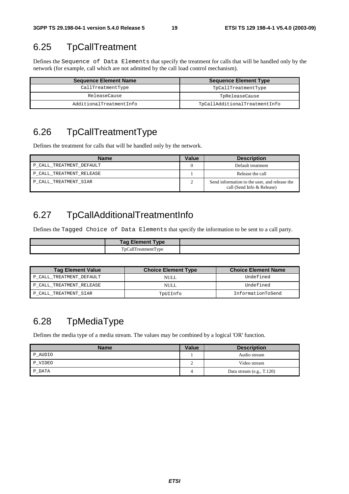### 6.25 TpCallTreatment

Defines the Sequence of Data Elements that specify the treatment for calls that will be handled only by the network (for example, call which are not admitted by the call load control mechanism).

| <b>Sequence Element Name</b> | <b>Sequence Element Type</b>  |  |
|------------------------------|-------------------------------|--|
| CallTreatmentType            | TpCallTreatmentType           |  |
| ReleaseCause                 | TpReleaseCause                |  |
| AdditionalTreatmentInfo      | TpCallAdditionalTreatmentInfo |  |

### 6.26 TpCallTreatmentType

Defines the treatment for calls that will be handled only by the network.

| <b>Name</b>              | Value | <b>Description</b>                                                          |
|--------------------------|-------|-----------------------------------------------------------------------------|
| P CALL TREATMENT DEFAULT |       | Default treatment                                                           |
| P CALL TREATMENT RELEASE |       | Release the call                                                            |
| P CALL TREATMENT SIAR    |       | Send information to the user, and release the<br>call (Send Info & Release) |

### 6.27 TpCallAdditionalTreatmentInfo

Defines the Tagged Choice of Data Elements that specify the information to be sent to a call party.

| <b>Tag Element Type</b> |  |
|-------------------------|--|
| TpCallTreatmentType     |  |

| <b>Tag Element Value</b> | <b>Choice Element Type</b> | <b>Choice Element Name</b> |
|--------------------------|----------------------------|----------------------------|
| P_CALL_TREATMENT_DEFAULT | NULL.                      | Undefined                  |
| P CALL TREATMENT RELEASE | NULL.                      | Undefined                  |
| P CALL TREATMENT SIAR    | TpUIInfo                   | InformationToSend          |

### 6.28 TpMediaType

Defines the media type of a media stream. The values may be combined by a logical 'OR' function.

| <b>Name</b> | Value | <b>Description</b>          |
|-------------|-------|-----------------------------|
| P_AUDIO     |       | Audio stream                |
| P_VIDEO     |       | Video stream                |
| P_DATA      |       | Data stream $(e.g., T.120)$ |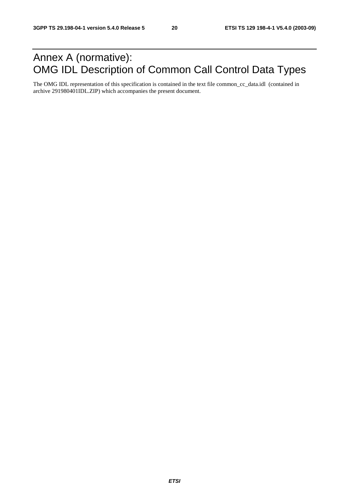## Annex A (normative): OMG IDL Description of Common Call Control Data Types

The OMG IDL representation of this specification is contained in the text file common\_cc\_data.idl (contained in archive 291980401IDL.ZIP) which accompanies the present document.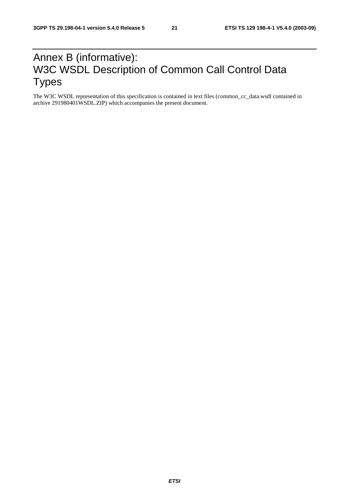## Annex B (informative): W3C WSDL Description of Common Call Control Data Types

The W3C WSDL representation of this specification is contained in text files (common\_cc\_data.wsdl contained in archive 291980401WSDL.ZIP) which accompanies the present document.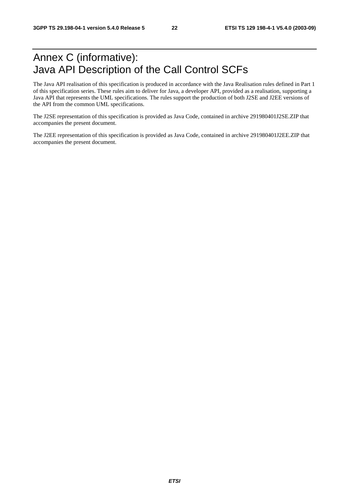## Annex C (informative): Java API Description of the Call Control SCFs

The Java API realisation of this specification is produced in accordance with the Java Realisation rules defined in Part 1 of this specification series. These rules aim to deliver for Java, a developer API, provided as a realisation, supporting a Java API that represents the UML specifications. The rules support the production of both J2SE and J2EE versions of the API from the common UML specifications.

The J2SE representation of this specification is provided as Java Code, contained in archive 291980401J2SE.ZIP that accompanies the present document.

The J2EE representation of this specification is provided as Java Code, contained in archive 291980401J2EE.ZIP that accompanies the present document.

**ETSI**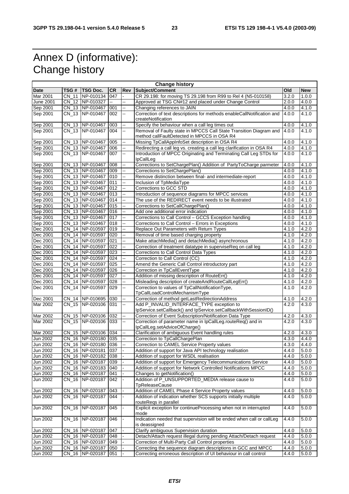## Annex D (informative): Change history

| <b>Change history</b> |       |                     |                |                          |                                                                        |       |            |
|-----------------------|-------|---------------------|----------------|--------------------------|------------------------------------------------------------------------|-------|------------|
| Date                  | TSG # | TSG Doc.            | <b>CR</b>      | Rev                      | Subject/Comment                                                        | Old   | <b>New</b> |
| Mar 2001              | CN 11 | NP-010134           | 047            |                          | CR 29.198: for moving TS 29.198 from R99 to Rel 4 (N5-010158)          | 3.2.0 | 1.0.0      |
| <b>June 2001</b>      |       | CN 12 NP-010327     | $\overline{a}$ | Ξ.                       | Approved at TSG CN#12 and placed under Change Control                  | 2.0.0 | 4.0.0      |
| Sep 2001              |       | CN 13 NP-010467     | 001            | --                       | Changing references to JAIN                                            | 4.0.0 | 4.1.0      |
| Sep 2001              |       | CN_13 NP-010467     | 002            | --                       | Correction of text descriptions for methods enableCallNotification and | 4.0.0 | 4.1.0      |
|                       |       |                     |                |                          | createNotification                                                     |       |            |
| Sep 2001              |       | CN 13 NP-010467     | 003            |                          | Specify the behaviour when a call leg times out                        | 4.0.0 | 4.1.0      |
| Sep 2001              |       | CN 13 NP-010467     | 004            | ц.                       | Removal of Faulty state in MPCCS Call State Transition Diagram and     | 4.0.0 | 4.1.0      |
|                       |       |                     |                |                          | method callFaultDetected in MPCCS in OSA R4                            |       |            |
| Sep 2001              |       | CN_13 NP-010467     | 005            | --                       | Missing TpCallAppInfoSet description in OSA R4                         | 4.0.0 | 4.1.0      |
| Sep 2001              |       | CN_13 NP-010467     | 006            | Ξ.                       | Redirecting a call leg vs. creating a call leg clarification in OSA R4 | 4.0.0 | 4.1.0      |
| Sep 2001              |       | CN_13 NP-010467     | 007            | ш.                       | Introduction of MPCC Originating and Terminating Call Leg STDs for     | 4.0.0 | 4.1.0      |
|                       |       |                     |                |                          | IpCallLeg                                                              |       |            |
| Sep 2001              |       | CN_13 NP-010467     | 008            | щ,                       | Corrections to SetChargePlan() Addition of PartyToCharge parmeter      | 4.0.0 | 4.1.0      |
| Sep 2001              |       | CN_13 NP-010467     | 009            |                          | Corrections to SetChargePlan()                                         | 4.0.0 | 4.1.0      |
| Sep 2001              |       | CN_13 NP-010467     | 010            | ц.                       | Remove distinction between final- and intermediate-report              | 4.0.0 | 4.1.0      |
| Sep 2001              |       | CN_13 NP-010467     | 011            | щ.                       | Inclusion of TpMediaType                                               | 4.0.0 | 4.1.0      |
|                       |       |                     |                |                          | Corrections to GCC STD                                                 |       |            |
| Sep 2001              |       | CN_13 NP-010467     | 012            |                          |                                                                        | 4.0.0 | 4.1.0      |
| Sep 2001              |       | CN_13 NP-010467     | 013            |                          | Introduction of sequence diagrams for MPCC services                    | 4.0.0 | 4.1.0      |
| Sep 2001              |       | CN_13 NP-010467     | 014            | щ.                       | The use of the REDIRECT event needs to be illustrated                  | 4.0.0 | 4.1.0      |
| Sep 2001              |       | CN_13 NP-010467     | 015            | Ξ.                       | Corrections to SetCallChargePlan()                                     | 4.0.0 | 4.1.0      |
| Sep 2001              |       | CN_13 NP-010467     | 016            |                          | Add one additional error indication                                    | 4.0.0 | 4.1.0      |
| Sep 2001              |       | CN_13 NP-010467     | 017            | --                       | Corrections to Call Control - GCCS Exception handling                  | 4.0.0 | 4.1.0      |
| Sep 2001              |       | CN_13 NP-010467     | 018            |                          | Corrections to Call Control - Errors in Exceptions                     | 4.0.0 | 4.1.0      |
| Dec 2001              |       | CN_14 NP-010597     | 019            |                          | Replace Out Parameters with Return Types                               | 4.1.0 | 4.2.0      |
| Dec 2001              |       | CN_14 NP-010597     | 020            | ц,                       | Removal of time based charging property                                | 4.1.0 | 4.2.0      |
| Dec 2001              |       | CN_14 NP-010597     | 021            | щ.                       | Make attachMedia() and detachMedia() asynchronous                      | 4.1.0 | 4.2.0      |
| Dec 2001              |       | CN_14 NP-010597     | 022            |                          | Correction of treatment datatype in superviseReg on call leg           | 4.1.0 | 4.2.0      |
| Dec 2001              |       | CN_14 NP-010597     | 023            |                          | <b>Corrections to Call Control Data Types</b>                          | 4.1.0 | 4.2.0      |
| Dec 2001              | CN    | 14 NP-010597        | 024            | ш.                       | Correction to Call Control (CC)                                        | 4.1.0 | 4.2.0      |
| Dec 2001              |       | CN 14   NP-010597   | 025            |                          | Amend the Generic Call Control introductory part                       | 4.1.0 | 4.2.0      |
| Dec 2001              |       | CN_14 NP-010597     | 026            | --                       | Correction in TpCallEventType                                          | 4.1.0 | 4.2.0      |
| Dec 2001              |       | CN_14 NP-010597     | 027            | --                       | Addition of missing description of RouteErr()                          | 4.1.0 | 4.2.0      |
| Dec 2001              |       | CN 14 NP-010597     | 028            |                          | Misleading description of createAndRouteCallLegErr()                   | 4.1.0 | 4.2.0      |
| Dec 2001              |       |                     | 029            | щ.                       |                                                                        |       | 4.2.0      |
|                       |       | CN_14 NP-010597     |                |                          | Correction to values of TpCallNotificationType,                        | 4.1.0 |            |
|                       |       |                     |                |                          | TpCallLoadControlMechanismType                                         |       |            |
| Dec 2001              |       | CN_14 NP-010695     | 030            | щ,                       | Correction of method getLastRedirectionAddress                         | 4.1.0 | 4.2.0      |
| Mar 2002              |       | CN_15 NP-020106     | 031            | ц,                       | Add P_INVALID_INTERFACE_TYPE exception to                              | 4.2.0 | 4.3.0      |
|                       |       |                     |                |                          | IpService.setCallback() and IpService.setCallbackWithSessionID()       |       |            |
| Mar 2002              |       | CN_15 NP-020106     | 032            |                          | Correction of Event Subscription/Notification Data Type                | 4.2.0 | 4.3.0      |
| Mar 2002              |       | CN 15 NP-020106     | 033            | ц.                       | Correction of parameter name in lpCallLeg.routeReq() and in            | 4.2.0 | 4.3.0      |
|                       |       |                     |                |                          | IpCallLeg.setAdviceOfCharge()                                          |       |            |
| Mar 2002              |       | CN_15 NP-020106 034 |                |                          | Clarification of ambiguous Event handling rules                        | 4.2.0 | 4.3.0      |
| Jun 2002              |       | CN_16 NP-020180 035 |                | щ.                       | Correction to TpCallChargePlan                                         | 4.3.0 | 4.4.0      |
| <b>Jun 2002</b>       |       | CN_16 NP-020180 036 |                | $\overline{\phantom{a}}$ | Correction to CAMEL Service Property values                            | 4.3.0 | 4.4.0      |
| Jun 2002              |       | CN_16 NP-020181 037 |                |                          | Addition of support for Java API technology realisation                | 4.4.0 | 5.0.0      |
| Jun 2002              |       | CN_16 NP-020182 038 |                |                          | Addition of support for WSDL realisation                               | 4.4.0 | 5.0.0      |
| Jun 2002              |       | CN_16 NP-020187     | 039            |                          | Addition of support for Emergency Telecommunications Service           | 4.4.0 | 5.0.0      |
| Jun 2002              |       | CN 16 NP-020183 040 |                |                          | Addition of support for Network Controlled Notifications MPCC          | 4.4.0 | 5.0.0      |
| Jun 2002              |       | CN_16 NP-020187     | 041            |                          | Changes to getNotification()                                           | 4.4.0 | 5.0.0      |
| Jun 2002              |       | CN 16 NP-020187     | 042            |                          | Addition of P_UNSUPPORTED_MEDIA release cause to                       | 4.4.0 | 5.0.0      |
|                       |       |                     |                |                          | <b>TpReleaseCause</b>                                                  |       |            |
| Jun 2002              |       | CN_16 NP-020187     | 043            |                          | Addition of CAMEL Phase 4 Service Property values                      | 4.4.0 | 5.0.0      |
| Jun 2002              |       | CN_16 NP-020187     | 044            |                          | Addition of indication whether SCS supports initially multiple         | 4.4.0 | 5.0.0      |
|                       |       |                     |                |                          | routeReqs in parallel                                                  |       |            |
| <b>Jun 2002</b>       |       | CN_16 NP-020187     | 045            | $\blacksquare$           | Explicit exception for continueProcessing when not in interrupted      | 4.4.0 | 5.0.0      |
|                       |       |                     |                |                          | mode                                                                   |       |            |
| Jun 2002              |       | CN_16 NP-020187     | 046            |                          | Indication needed that supervision will be ended when call or callLeg  | 4.4.0 | 5.0.0      |
|                       |       |                     |                |                          | is deassigned                                                          |       |            |
|                       |       |                     |                |                          |                                                                        |       |            |
| Jun 2002              |       | CN_16 NP-020187     | 047            |                          | Clarify ambiguous Supervision duration                                 | 4.4.0 | 5.0.0      |
| Jun 2002              |       | CN_16 NP-020187 048 |                |                          | Detach/Attach request illegal during pending Attach/Detach request     | 4.4.0 | 5.0.0      |
| Jun 2002              |       | CN_16 NP-020187 049 |                |                          | Correction of Multi-Party Call Control properties                      | 4.4.0 | 5.0.0      |
| Jun 2002              |       | CN_16 NP-020187     | 050            |                          | Correcting the sequence diagram descriptions in GCC and MPCC           | 4.4.0 | 5.0.0      |
| Jun 2002              |       | CN_16 NP-020187     | 051            |                          | Correcting erroneous description of UI behaviour in call control       | 4.4.0 | 5.0.0      |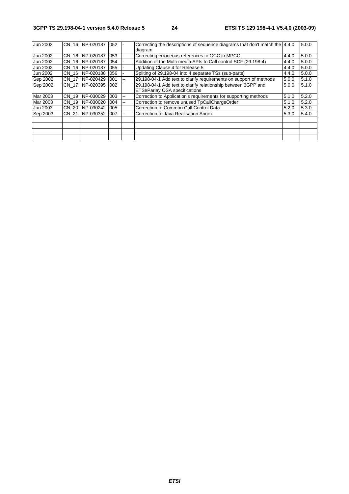| Jun 2002 |       | CN 16 INP-020187 052 |     |       | Correcting the descriptions of sequence diagrams that don't match the 4.4.0<br>diagram          |       | 5.0.0 |
|----------|-------|----------------------|-----|-------|-------------------------------------------------------------------------------------------------|-------|-------|
| Jun 2002 |       | CN 16 INP-020187     | 053 |       | Correcting erroneous references to GCC in MPCC                                                  | 4.4.0 | 5.0.0 |
| Jun 2002 |       | CN 16 INP-020187     | 054 |       | Addition of the Multi-media APIs to Call control SCF (29.198-4)                                 | 4.4.0 | 5.0.0 |
| Jun 2002 |       | CN 16 NP-020187      | 055 |       | Updating Clause 4 for Release 5                                                                 | 4.4.0 | 5.0.0 |
| Jun 2002 |       | CN 16 NP-020188      | 056 |       | Spliting of 29.198-04 into 4 separate TSs (sub-parts)                                           | 4.4.0 | 5.0.0 |
| Sep 2002 | CN 17 | NP-020429            | 001 |       | 29.198-04-1 Add text to clarify requirements on support of methods                              | 5.0.0 | 5.1.0 |
| Sep 2002 | CN 17 | NP-020395            | 002 |       | 29.198-04-1 Add text to clarify relationship between 3GPP and<br>ETSI/Parlay OSA specifications | 5.0.0 | 5.1.0 |
| Mar 2003 | CN 19 | NP-030029            | 003 | --    | Correction to Application's requirements for supporting methods                                 | 5.1.0 | 5.2.0 |
| Mar 2003 | CN 19 | NP-030020            | 004 | $- -$ | Correction to remove unused TpCallChargeOrder                                                   | 5.1.0 | 5.2.0 |
| Jun 2003 | CN 20 | NP-030242            | 005 |       | Correction to Common Call Control Data                                                          | 5.2.0 | 5.3.0 |
| Sep 2003 | CN 21 | NP-030352            | 007 |       | Correction to Java Realisation Annex                                                            | 5.3.0 | 5.4.0 |
|          |       |                      |     |       |                                                                                                 |       |       |
|          |       |                      |     |       |                                                                                                 |       |       |
|          |       |                      |     |       |                                                                                                 |       |       |
|          |       |                      |     |       |                                                                                                 |       |       |